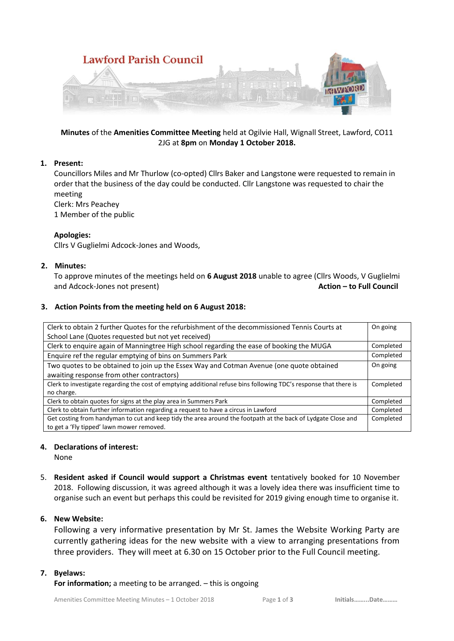

# **Minutes** of the **Amenities Committee Meeting** held at Ogilvie Hall, Wignall Street, Lawford, CO11 2JG at **8pm** on **Monday 1 October 2018.**

# **1. Present:**

Councillors Miles and Mr Thurlow (co-opted) Cllrs Baker and Langstone were requested to remain in order that the business of the day could be conducted. Cllr Langstone was requested to chair the meeting

Clerk: Mrs Peachey

1 Member of the public

### **Apologies:**

Cllrs V Guglielmi Adcock-Jones and Woods,

### **2. Minutes:**

To approve minutes of the meetings held on **6 August 2018** unable to agree (Cllrs Woods, V Guglielmi and Adcock-Jones not present) **Action – to Full Council**

### **3. Action Points from the meeting held on 6 August 2018:**

| Clerk to obtain 2 further Quotes for the refurbishment of the decommissioned Tennis Courts at                     | On going  |
|-------------------------------------------------------------------------------------------------------------------|-----------|
| School Lane (Quotes requested but not yet received)                                                               |           |
| Clerk to enquire again of Manningtree High school regarding the ease of booking the MUGA                          | Completed |
| Enquire ref the regular emptying of bins on Summers Park                                                          | Completed |
| Two quotes to be obtained to join up the Essex Way and Cotman Avenue (one quote obtained                          | On going  |
| awaiting response from other contractors)                                                                         |           |
| Clerk to investigate regarding the cost of emptying additional refuse bins following TDC's response that there is | Completed |
| no charge.                                                                                                        |           |
| Clerk to obtain quotes for signs at the play area in Summers Park                                                 | Completed |
| Clerk to obtain further information regarding a request to have a circus in Lawford                               | Completed |
| Get costing from handyman to cut and keep tidy the area around the footpath at the back of Lydgate Close and      | Completed |
| to get a 'Fly tipped' lawn mower removed.                                                                         |           |

#### **4. Declarations of interest:**

None

5. **Resident asked if Council would support a Christmas event** tentatively booked for 10 November 2018. Following discussion, it was agreed although it was a lovely idea there was insufficient time to organise such an event but perhaps this could be revisited for 2019 giving enough time to organise it.

# **6. New Website:**

Following a very informative presentation by Mr St. James the Website Working Party are currently gathering ideas for the new website with a view to arranging presentations from three providers. They will meet at 6.30 on 15 October prior to the Full Council meeting.

#### **7. Byelaws:**

**For information;** a meeting to be arranged. – this is ongoing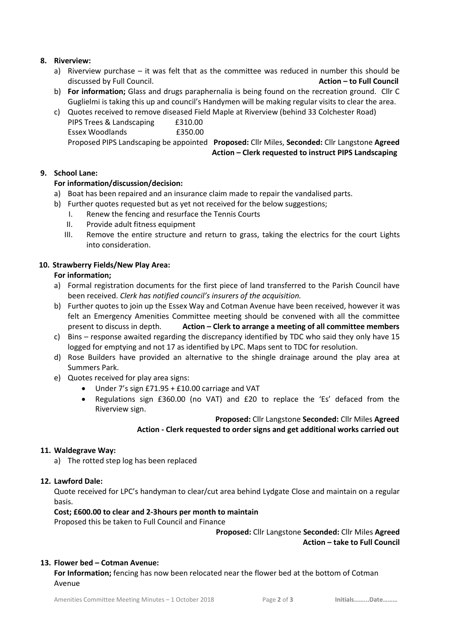# **8. Riverview:**

- a) Riverview purchase it was felt that as the committee was reduced in number this should be discussed by Full Council. **Action – to Full Council**
- b) **For information;** Glass and drugs paraphernalia is being found on the recreation ground. Cllr C Guglielmi is taking this up and council's Handymen will be making regular visits to clear the area.
- c) Quotes received to remove diseased Field Maple at Riverview (behind 33 Colchester Road) PIPS Trees & Landscaping £310.00 Essex Woodlands £350.00 Proposed PIPS Landscaping be appointed **Proposed:** Cllr Miles, **Seconded:** Cllr Langstone **Agreed Action – Clerk requested to instruct PIPS Landscaping**

### **9. School Lane:**

### **For information/discussion/decision:**

- a) Boat has been repaired and an insurance claim made to repair the vandalised parts.
- b) Further quotes requested but as yet not received for the below suggestions;
	- I. Renew the fencing and resurface the Tennis Courts
	- II. Provide adult fitness equipment
	- III. Remove the entire structure and return to grass, taking the electrics for the court Lights into consideration.

### **10. Strawberry Fields/New Play Area:**

#### **For information;**

- a) Formal registration documents for the first piece of land transferred to the Parish Council have been received. *Clerk has notified council's insurers of the acquisition.*
- b) Further quotes to join up the Essex Way and Cotman Avenue have been received, however it was felt an Emergency Amenities Committee meeting should be convened with all the committee present to discuss in depth. **Action – Clerk to arrange a meeting of all committee members**
- c) Bins response awaited regarding the discrepancy identified by TDC who said they only have 15 logged for emptying and not 17 as identified by LPC. Maps sent to TDC for resolution.
- d) Rose Builders have provided an alternative to the shingle drainage around the play area at Summers Park.
- e) Quotes received for play area signs:
	- Under 7's sign £71.95 + £10.00 carriage and VAT
	- Regulations sign £360.00 (no VAT) and £20 to replace the 'Es' defaced from the Riverview sign.

 **Proposed:** Cllr Langstone **Seconded:** Cllr Miles **Agreed Action - Clerk requested to order signs and get additional works carried out**

#### **11. Waldegrave Way:**

a) The rotted step log has been replaced

#### **12. Lawford Dale:**

Quote received for LPC's handyman to clear/cut area behind Lydgate Close and maintain on a regular basis.

#### **Cost; £600.00 to clear and 2-3hours per month to maintain**

Proposed this be taken to Full Council and Finance

### **Proposed:** Cllr Langstone **Seconded:** Cllr Miles **Agreed Action – take to Full Council**

#### **13. Flower bed – Cotman Avenue:**

**For Information;** fencing has now been relocated near the flower bed at the bottom of Cotman Avenue